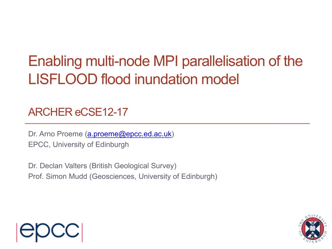#### Enabling multi-node MPI parallelisation of the LISFLOOD flood inundation model

#### ARCHER eCSE12-17

Dr. Arno Proeme [\(a.proeme@epcc.ed.ac.uk](mailto:a.proeme@epcc.ed.ac.uk)) EPCC, University of Edinburgh

Dr. Declan Valters (British Geological Survey) Prof. Simon Mudd (Geosciences, University of Edinburgh)



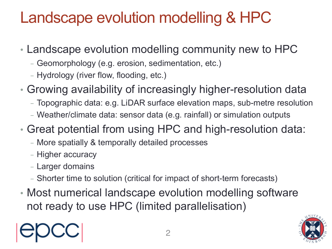#### Landscape evolution modelling & HPC

- Landscape evolution modelling community new to HPC
	- Geomorphology (e.g. erosion, sedimentation, etc.)
	- Hydrology (river flow, flooding, etc.)
- Growing availability of increasingly higher-resolution data
	- Topographic data: e.g. LiDAR surface elevation maps, sub-metre resolution
	- Weather/climate data: sensor data (e.g. rainfall) or simulation outputs
- Great potential from using HPC and high-resolution data:
	- More spatially & temporally detailed processes
	- Higher accuracy
	- Larger domains
	- Shorter time to solution (critical for impact of short-term forecasts)
- Most numerical landscape evolution modelling software not ready to use HPC (limited parallelisation)



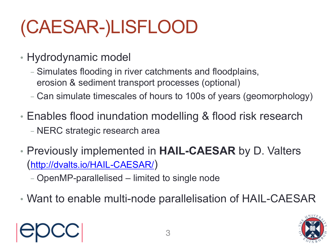# (CAESAR-)LISFLOOD

- Hydrodynamic model
	- Simulates flooding in river catchments and floodplains, erosion & sediment transport processes (optional)
	- Can simulate timescales of hours to 100s of years (geomorphology)
- Enables flood inundation modelling & flood risk research - NERC strategic research area
- Previously implemented in **HAIL-CAESAR** by D. Valters [\(http://dvalts.io/HAIL-CAESAR/](http://dvalts.io/HAIL-CAESAR/))
	- OpenMP-parallelised limited to single node
- Want to enable multi-node parallelisation of HAIL-CAESAR



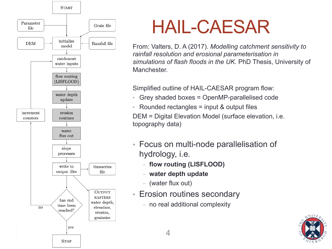

### HAIL-CAESAR

From: Valters, D. A (2017). *Modelling catchment sensitivity to rainfall resolution and erosional parameterisation in simulations of flash floods in the UK.* PhD Thesis, University of Manchester.

Simplified outline of HAIL-CAESAR program flow:

- Grey shaded boxes = OpenMP-parallelised code
- Rounded rectangles = input & output files

DEM = Digital Elevation Model (surface elevation, i.e. topography data)

- Focus on multi-node parallelisation of hydrology, i.e.
	- **flow routing (LISFLOOD)**
	- **water depth update**
	- (water flux out)
- Erosion routines secondary
	- no real additional complexity

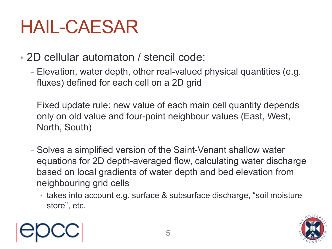## HAIL-CAESAR

- 2D cellular automaton / stencil code:
	- Elevation, water depth, other real-valued physical quantities (e.g. fluxes) defined for each cell on a 2D grid
	- Fixed update rule: new value of each main cell quantity depends only on old value and four-point neighbour values (East, West, North, South)
	- Solves a simplified version of the Saint-Venant shallow water equations for 2D depth-averaged flow, calculating water discharge based on local gradients of water depth and bed elevation from neighbouring grid cells
		- takes into account e.g. surface & subsurface discharge, "soil moisture store", etc.



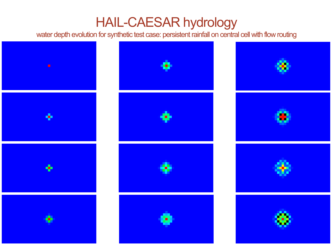#### HAIL-CAESAR hydrology

water depth evolution for synthetic test case: persistent rainfall on central cell with flow routing

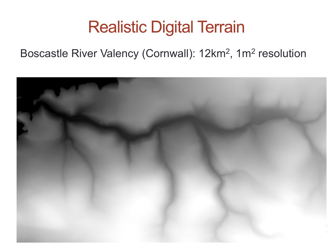#### Realistic Digital Terrain

#### Boscastle River Valency (Cornwall): 12km2, 1m2 resolution

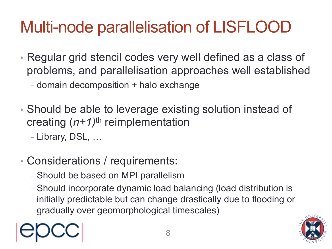### Multi-node parallelisation of LISFLOOD

- Regular grid stencil codes very well defined as a class of problems, and parallelisation approaches well established
	- domain decomposition + halo exchange
- Should be able to leverage existing solution instead of creating (*n+1)*th reimplementation
	- Library, DSL, …
- Considerations / requirements:
	- Should be based on MPI parallelism
	- Should incorporate dynamic load balancing (load distribution is initially predictable but can change drastically due to flooding or gradually over geomorphological timescales)



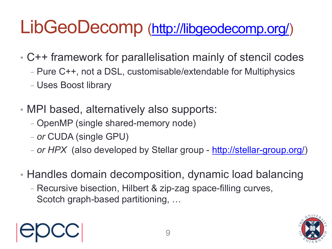## LibGeoDecomp [\(http://libgeodecomp.org/\)](http://libgeodecomp.org/)

- C++ framework for parallelisation mainly of stencil codes
	- Pure C++, not a DSL, customisable/extendable for Multiphysics
	- Uses Boost library
- MPI based, alternatively also supports:
	- OpenMP (single shared-memory node)
	- *or* CUDA (single GPU)
	- *or HPX* (also developed by Stellar group [http://stellar-group.org/\)](http://stellar-group.org/)
- Handles domain decomposition, dynamic load balancing

9

- Recursive bisection, Hilbert & zip-zag space-filling curves, Scotch graph-based partitioning, …



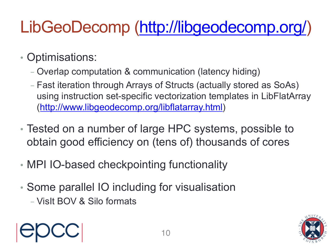### LibGeoDecomp [\(http://libgeodecomp.org/\)](http://libgeodecomp.org/)

- Optimisations:
	- Overlap computation & communication (latency hiding)
	- Fast iteration through Arrays of Structs (actually stored as SoAs) using instruction set-specific vectorization templates in LibFlatArray ([http://www.libgeodecomp.org/libflatarray.html\)](http://www.libgeodecomp.org/libflatarray.html)
- Tested on a number of large HPC systems, possible to obtain good efficiency on (tens of) thousands of cores
- MPI IO-based checkpointing functionality
- Some parallel IO including for visualisation
	- VisIt BOV & Silo formats



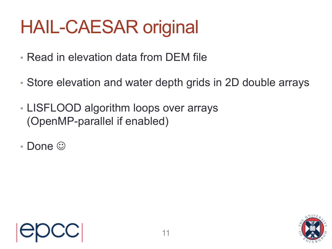# HAIL-CAESAR original

- Read in elevation data from DEM file
- Store elevation and water depth grids in 2D double arrays
- LISFLOOD algorithm loops over arrays (OpenMP-parallel if enabled)
- Done  $\odot$



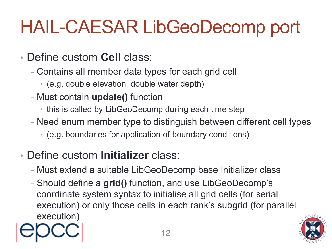# HAIL-CAESAR LibGeoDecomp port

- Define custom **Cell** class:
	- Contains all member data types for each grid cell
		- (e.g. double elevation, double water depth)
	- Must contain **update()** function
		- this is called by LibGeoDecomp during each time step
	- Need enum member type to distinguish between different cell types
		- (e.g. boundaries for application of boundary conditions)
- Define custom **Initializer** class:
	- Must extend a suitable LibGeoDecomp base Initializer class
	- Should define a **grid()** function, and use LibGeoDecomp's coordinate system syntax to initialise all grid cells (for serial execution) or only those cells in each rank's subgrid (for parallel execution)

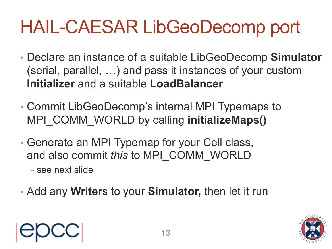# HAIL-CAESAR LibGeoDecomp port

- Declare an instance of a suitable LibGeoDecomp **Simulator** (serial, parallel, …) and pass it instances of your custom **Initializer** and a suitable **LoadBalancer**
- Commit LibGeoDecomp's internal MPI Typemaps to MPI\_COMM\_WORLD by calling **initializeMaps()**
- Generate an MPI Typemap for your Cell class, and also commit *this* to MPI\_COMM\_WORLD
	- see next slide
- Add any **Writer**s to your **Simulator,** then let it run



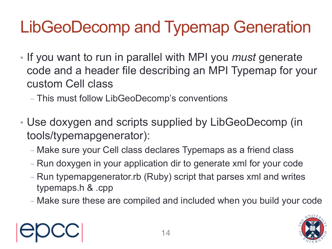### LibGeoDecomp and Typemap Generation

- If you want to run in parallel with MPI you *must* generate code and a header file describing an MPI Typemap for your custom Cell class
	- This must follow LibGeoDecomp's conventions
- Use doxygen and scripts supplied by LibGeoDecomp (in tools/typemapgenerator):
	- Make sure your Cell class declares Typemaps as a friend class
	- Run doxygen in your application dir to generate xml for your code
	- Run typemapgenerator.rb (Ruby) script that parses xml and writes typemaps.h & .cpp
	- Make sure these are compiled and included when you build your code

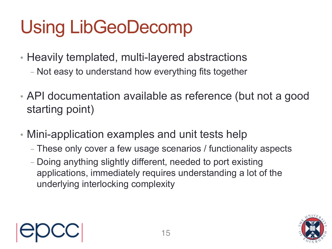# Using LibGeoDecomp

- Heavily templated, multi-layered abstractions
	- Not easy to understand how everything fits together
- API documentation available as reference (but not a good starting point)
- Mini-application examples and unit tests help
	- These only cover a few usage scenarios / functionality aspects
	- Doing anything slightly different, needed to port existing applications, immediately requires understanding a lot of the underlying interlocking complexity



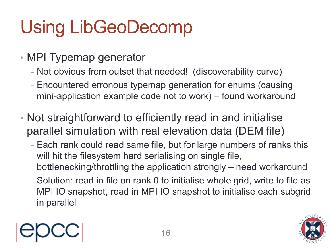# Using LibGeoDecomp

- MPI Typemap generator
	- Not obvious from outset that needed! (discoverability curve)
	- Encountered erronous typemap generation for enums (causing mini-application example code not to work) – found workaround
- Not straightforward to efficiently read in and initialise parallel simulation with real elevation data (DEM file)
	- Each rank could read same file, but for large numbers of ranks this will hit the filesystem hard serialising on single file, bottlenecking/throttling the application strongly – need workaround
	- Solution: read in file on rank 0 to initialise whole grid, write to file as MPI IO snapshot, read in MPI IO snapshot to initialise each subgrid in parallel

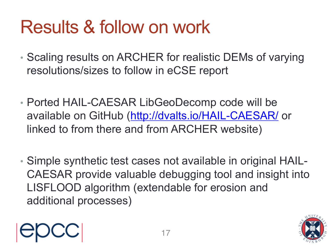# Results & follow on work

- Scaling results on ARCHER for realistic DEMs of varying resolutions/sizes to follow in eCSE report
- Ported HAIL-CAESAR LibGeoDecomp code will be available on GitHub (<http://dvalts.io/HAIL-CAESAR/> or linked to from there and from ARCHER website)
- Simple synthetic test cases not available in original HAIL-CAESAR provide valuable debugging tool and insight into LISFLOOD algorithm (extendable for erosion and additional processes)